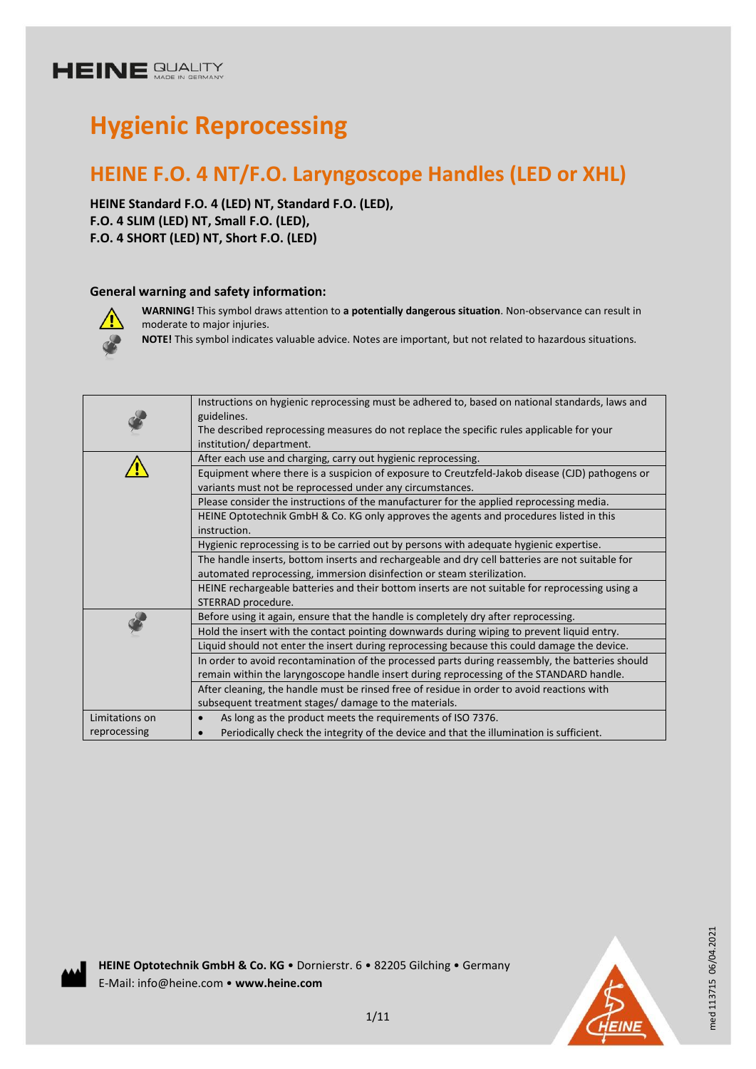# **Hygienic Reprocessing**

### **HEINE F.O. 4 NT/F.O. Laryngoscope Handles (LED or XHL)**

**HEINE Standard F.O. 4 (LED) NT, Standard F.O. (LED), F.O. 4 SLIM (LED) NT, Small F.O. (LED), F.O. 4 SHORT (LED) NT, Short F.O. (LED)** 

#### **General warning and safety information:**



**WARNING!** This symbol draws attention to **a potentially dangerous situation**. Non-observance can result in moderate to major injuries.

**NOTE!** This symbol indicates valuable advice. Notes are important, but not related to hazardous situations.

|                | Instructions on hygienic reprocessing must be adhered to, based on national standards, laws and<br>guidelines. |
|----------------|----------------------------------------------------------------------------------------------------------------|
|                | The described reprocessing measures do not replace the specific rules applicable for your                      |
|                | institution/ department.                                                                                       |
|                | After each use and charging, carry out hygienic reprocessing.                                                  |
|                | Equipment where there is a suspicion of exposure to Creutzfeld-Jakob disease (CJD) pathogens or                |
|                | variants must not be reprocessed under any circumstances.                                                      |
|                | Please consider the instructions of the manufacturer for the applied reprocessing media.                       |
|                | HEINE Optotechnik GmbH & Co. KG only approves the agents and procedures listed in this                         |
|                | instruction.                                                                                                   |
|                | Hygienic reprocessing is to be carried out by persons with adequate hygienic expertise.                        |
|                | The handle inserts, bottom inserts and rechargeable and dry cell batteries are not suitable for                |
|                | automated reprocessing, immersion disinfection or steam sterilization.                                         |
|                | HEINE rechargeable batteries and their bottom inserts are not suitable for reprocessing using a                |
|                | STERRAD procedure.                                                                                             |
|                | Before using it again, ensure that the handle is completely dry after reprocessing.                            |
|                | Hold the insert with the contact pointing downwards during wiping to prevent liquid entry.                     |
|                | Liquid should not enter the insert during reprocessing because this could damage the device.                   |
|                | In order to avoid recontamination of the processed parts during reassembly, the batteries should               |
|                | remain within the laryngoscope handle insert during reprocessing of the STANDARD handle.                       |
|                | After cleaning, the handle must be rinsed free of residue in order to avoid reactions with                     |
|                | subsequent treatment stages/ damage to the materials.                                                          |
| Limitations on | As long as the product meets the requirements of ISO 7376.                                                     |
| reprocessing   | Periodically check the integrity of the device and that the illumination is sufficient.                        |
|                |                                                                                                                |



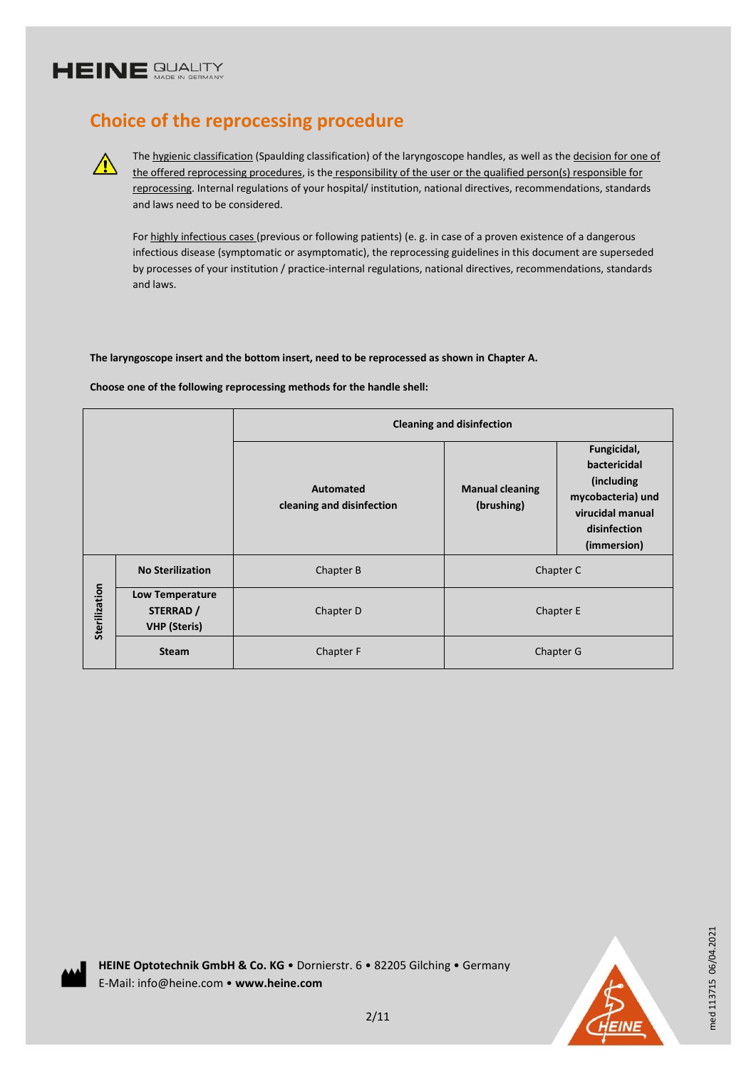$\bigwedge$ 

### **Choice of the reprocessing procedure**

The hygienic classification (Spaulding classification) of the laryngoscope handles, as well as the decision for one of the offered reprocessing procedures, is the responsibility of the user or the qualified person(s) responsible for reprocessing. Internal regulations of your hospital/ institution, national directives, recommendations, standards and laws need to be considered.

For highly infectious cases (previous or following patients) (e. g. in case of a proven existence of a dangerous infectious disease (symptomatic or asymptomatic), the reprocessing guidelines in this document are superseded by processes of your institution / practice-internal regulations, national directives, recommendations, standards and laws.

**The laryngoscope insert and the bottom insert, need to be reprocessed as shown in Chapter A.**

**Choose one of the following reprocessing methods for the handle shell:**

|               |                                                            | <b>Cleaning and disinfection</b>       |                                      |                                                                                                                   |  |
|---------------|------------------------------------------------------------|----------------------------------------|--------------------------------------|-------------------------------------------------------------------------------------------------------------------|--|
|               |                                                            | Automated<br>cleaning and disinfection | <b>Manual cleaning</b><br>(brushing) | Fungicidal,<br>bactericidal<br>(including<br>mycobacteria) und<br>virucidal manual<br>disinfection<br>(immersion) |  |
| Sterilization | <b>No Sterilization</b>                                    | Chapter B                              | Chapter C                            |                                                                                                                   |  |
|               | <b>Low Temperature</b><br>STERRAD /<br><b>VHP</b> (Steris) | Chapter D                              | Chapter E                            |                                                                                                                   |  |
|               | <b>Steam</b>                                               | Chapter F                              | Chapter G                            |                                                                                                                   |  |

**HEINE Optotechnik GmbH & Co. KG** • Dornierstr. 6 • 82205 Gilching • Germany E-Mail: info@heine.com • **www.heine.com**



med 113715 06/04.2021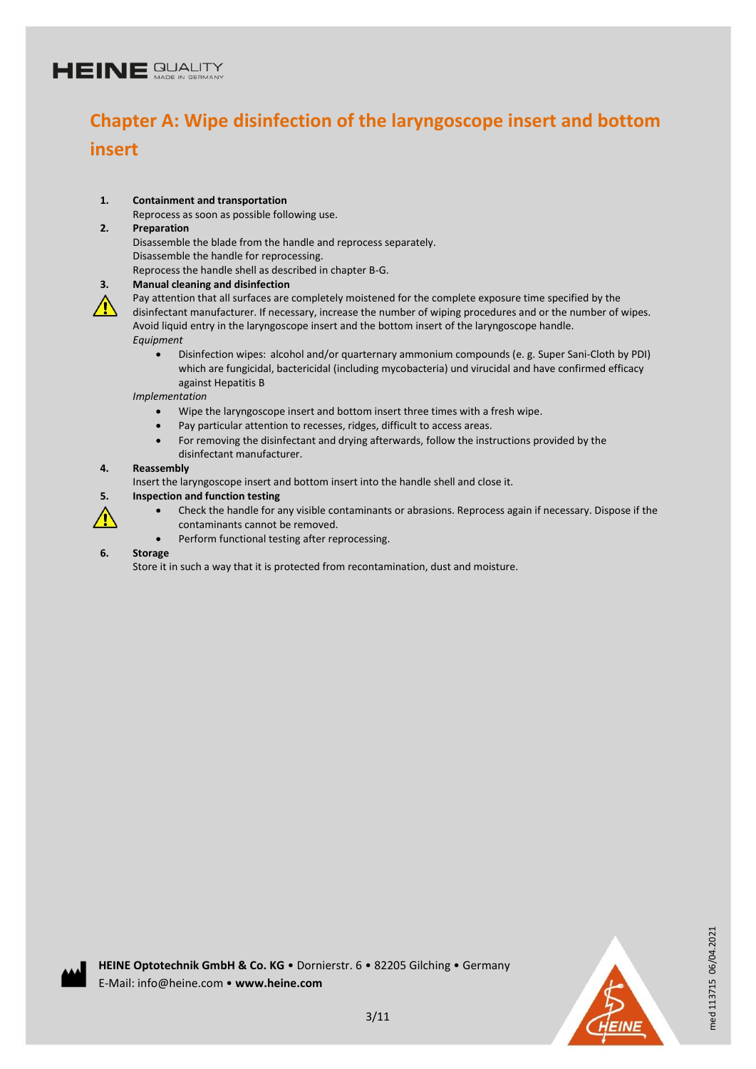# **Chapter A: Wipe disinfection of the laryngoscope insert and bottom insert**

#### **1. Containment and transportation**

Reprocess as soon as possible following use.

#### **2. Preparation**

Disassemble the blade from the handle and reprocess separately. Disassemble the handle for reprocessing.

Reprocess the handle shell as described in chapter B-G.

#### **3. Manual cleaning and disinfection**

Pay attention that all surfaces are completely moistened for the complete exposure time specified by the disinfectant manufacturer. If necessary, increase the number of wiping procedures and or the number of wipes. Avoid liquid entry in the laryngoscope insert and the bottom insert of the laryngoscope handle. *Equipment*

 Disinfection wipes: alcohol and/or quarternary ammonium compounds (e. g. Super Sani-Cloth by PDI) which are fungicidal, bactericidal (including mycobacteria) und virucidal and have confirmed efficacy against Hepatitis B

#### *Implementation*

- Wipe the laryngoscope insert and bottom insert three times with a fresh wipe.
- Pay particular attention to recesses, ridges, difficult to access areas.
- For removing the disinfectant and drying afterwards, follow the instructions provided by the disinfectant manufacturer.

#### **4. Reassembly**

Insert the laryngoscope insert and bottom insert into the handle shell and close it.

#### **5. Inspection and function testing**



- Check the handle for any visible contaminants or abrasions. Reprocess again if necessary. Dispose if the
- contaminants cannot be removed.
- Perform functional testing after reprocessing.

#### **6. Storage**

Store it in such a way that it is protected from recontamination, dust and moisture.



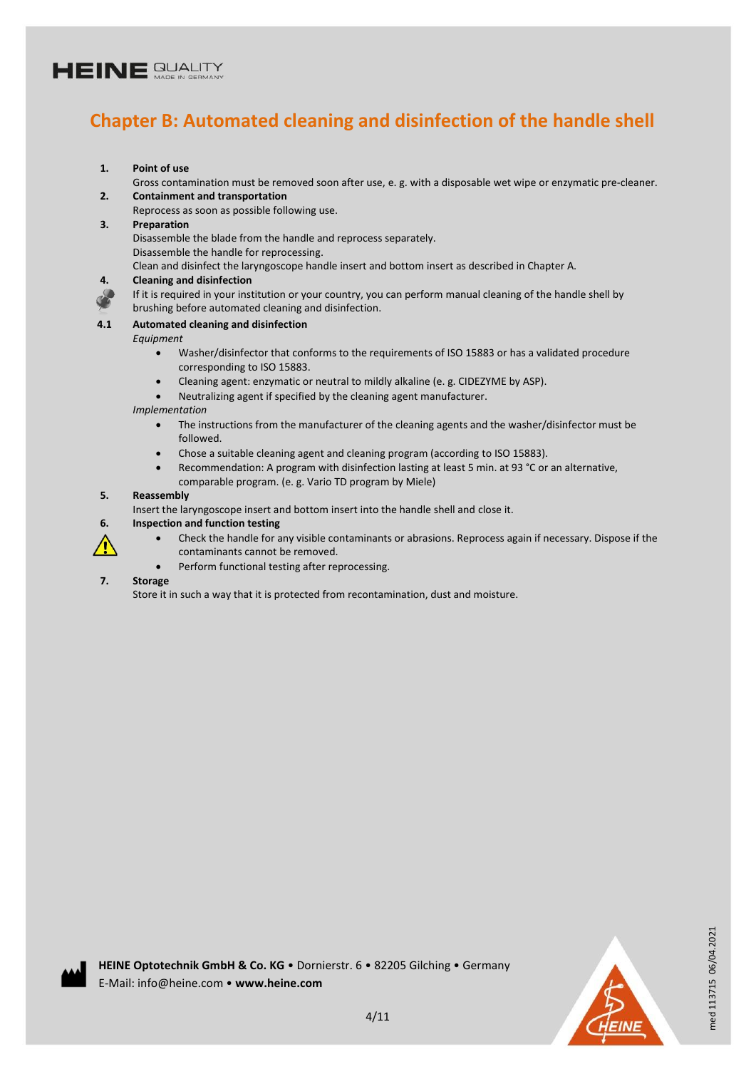### **Chapter B: Automated cleaning and disinfection of the handle shell**

**1. Point of use**

Gross contamination must be removed soon after use, e. g. with a disposable wet wipe or enzymatic pre-cleaner. **2. Containment and transportation**

Reprocess as soon as possible following use.

#### **3. Preparation**

Disassemble the blade from the handle and reprocess separately. Disassemble the handle for reprocessing.

Clean and disinfect the laryngoscope handle insert and bottom insert as described in Chapter A.

#### **4. Cleaning and disinfection**

If it is required in your institution or your country, you can perform manual cleaning of the handle shell by brushing before automated cleaning and disinfection.

#### **4.1 Automated cleaning and disinfection**

*Equipment*

- Washer/disinfector that conforms to the requirements of ISO 15883 or has a validated procedure corresponding to ISO 15883.
- Cleaning agent: enzymatic or neutral to mildly alkaline (e. g. CIDEZYME by ASP).
- Neutralizing agent if specified by the cleaning agent manufacturer.

#### *Implementation*

- The instructions from the manufacturer of the cleaning agents and the washer/disinfector must be followed.
- Chose a suitable cleaning agent and cleaning program (according to ISO 15883).
- Recommendation: A program with disinfection lasting at least 5 min. at 93 °C or an alternative, comparable program. (e. g. Vario TD program by Miele)

#### **5. Reassembly**

Insert the laryngoscope insert and bottom insert into the handle shell and close it.

#### **6. Inspection and function testing**

- Check the handle for any visible contaminants or abrasions. Reprocess again if necessary. Dispose if the contaminants cannot be removed.
- Perform functional testing after reprocessing.

#### **7. Storage**

Store it in such a way that it is protected from recontamination, dust and moisture.



med 113715 06/04.2021

med 113715 06/04.2021

4/11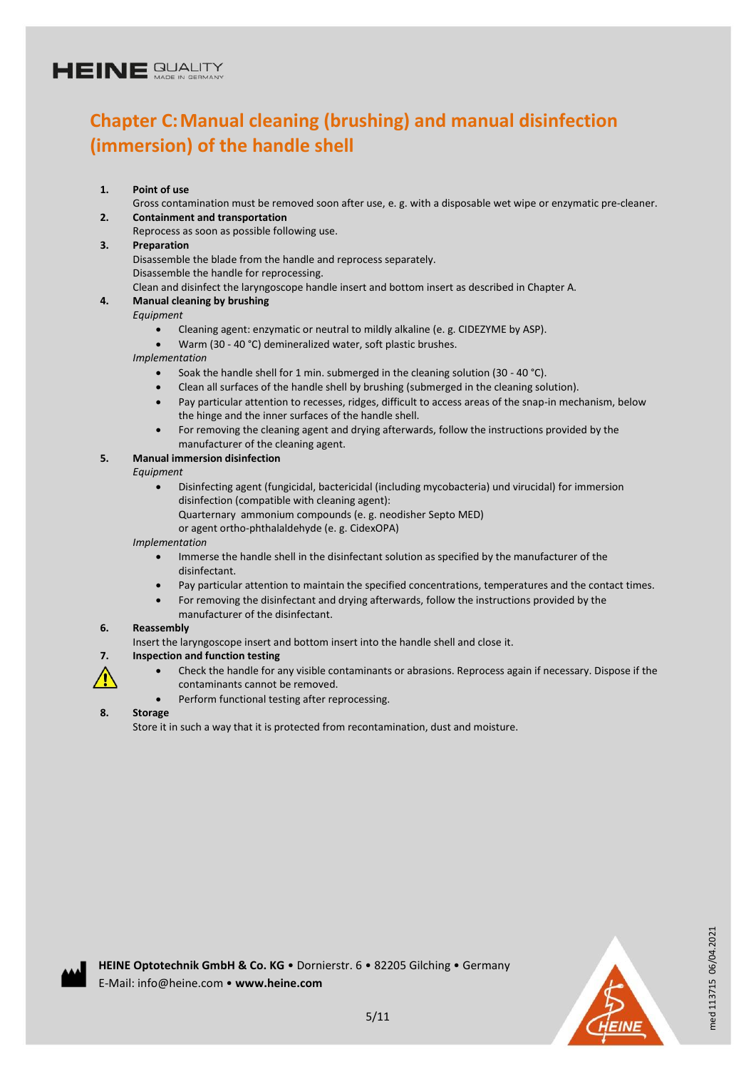### **Chapter C:Manual cleaning (brushing) and manual disinfection (immersion) of the handle shell**

**1. Point of use**

Gross contamination must be removed soon after use, e. g. with a disposable wet wipe or enzymatic pre-cleaner. **2. Containment and transportation**

- Reprocess as soon as possible following use.
- **3. Preparation**

Disassemble the blade from the handle and reprocess separately. Disassemble the handle for reprocessing.

Clean and disinfect the laryngoscope handle insert and bottom insert as described in Chapter A.

#### **4. Manual cleaning by brushing**

*Equipment*

- Cleaning agent: enzymatic or neutral to mildly alkaline (e. g. CIDEZYME by ASP).
- Warm (30 40 °C) demineralized water, soft plastic brushes.

*Implementation*

- Soak the handle shell for 1 min. submerged in the cleaning solution (30 40 °C).
- Clean all surfaces of the handle shell by brushing (submerged in the cleaning solution).
- Pay particular attention to recesses, ridges, difficult to access areas of the snap-in mechanism, below the hinge and the inner surfaces of the handle shell.
- For removing the cleaning agent and drying afterwards, follow the instructions provided by the manufacturer of the cleaning agent.

#### **5. Manual immersion disinfection**

*Equipment*

 Disinfecting agent (fungicidal, bactericidal (including mycobacteria) und virucidal) for immersion disinfection (compatible with cleaning agent): Quarternary ammonium compounds (e. g. neodisher Septo MED) or agent ortho-phthalaldehyde (e. g. CidexOPA)

*Implementation*

- Immerse the handle shell in the disinfectant solution as specified by the manufacturer of the disinfectant.
- Pay particular attention to maintain the specified concentrations, temperatures and the contact times.
- For removing the disinfectant and drying afterwards, follow the instructions provided by the manufacturer of the disinfectant.

#### **6. Reassembly**

Insert the laryngoscope insert and bottom insert into the handle shell and close it.

#### **7. Inspection and function testing**

- Check the handle for any visible contaminants or abrasions. Reprocess again if necessary. Dispose if the contaminants cannot be removed.
- Perform functional testing after reprocessing.

#### **8. Storage**

/<u>I</u>\

Store it in such a way that it is protected from recontamination, dust and moisture.



med 113715 06/04.2021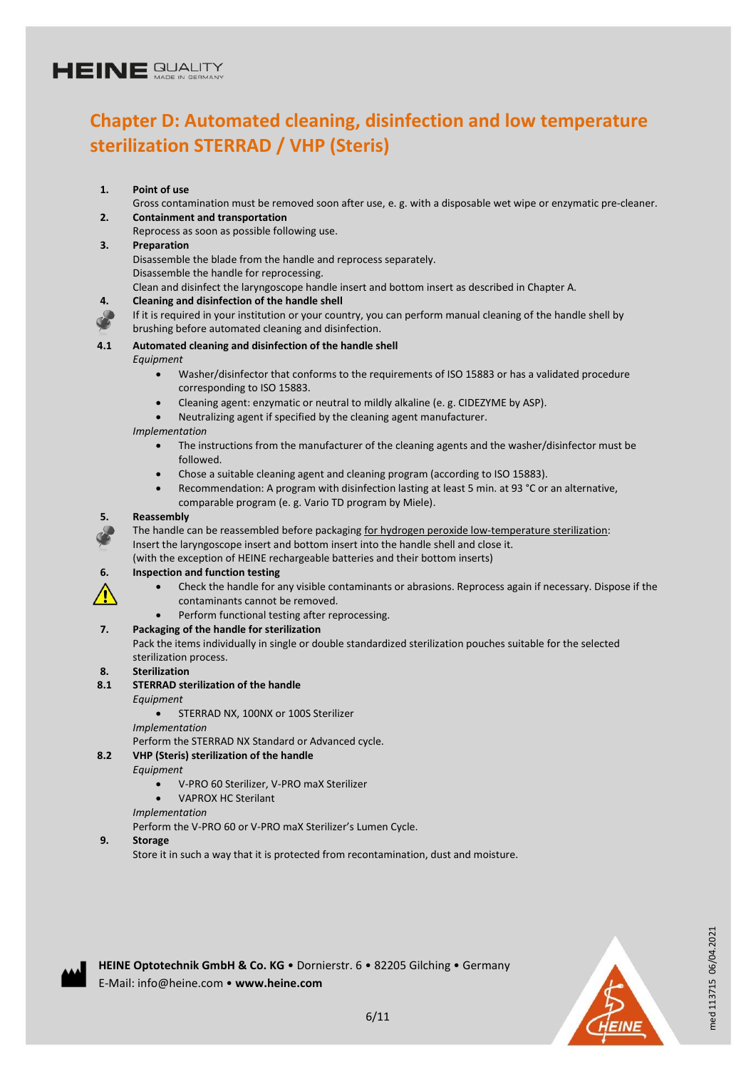### **Chapter D: Automated cleaning, disinfection and low temperature sterilization STERRAD / VHP (Steris)**

#### **1. Point of use**

Gross contamination must be removed soon after use, e. g. with a disposable wet wipe or enzymatic pre-cleaner. **2. Containment and transportation**

Reprocess as soon as possible following use.

#### **3. Preparation**

Disassemble the blade from the handle and reprocess separately. Disassemble the handle for reprocessing.

Clean and disinfect the laryngoscope handle insert and bottom insert as described in Chapter A.

#### **4. Cleaning and disinfection of the handle shell**

If it is required in your institution or your country, you can perform manual cleaning of the handle shell by brushing before automated cleaning and disinfection.

#### **4.1 Automated cleaning and disinfection of the handle shell**

*Equipment*

- Washer/disinfector that conforms to the requirements of ISO 15883 or has a validated procedure corresponding to ISO 15883.
- Cleaning agent: enzymatic or neutral to mildly alkaline (e. g. CIDEZYME by ASP).
- Neutralizing agent if specified by the cleaning agent manufacturer.

#### *Implementation*

- The instructions from the manufacturer of the cleaning agents and the washer/disinfector must be followed.
- Chose a suitable cleaning agent and cleaning program (according to ISO 15883).
- Recommendation: A program with disinfection lasting at least 5 min. at 93 °C or an alternative, comparable program (e. g. Vario TD program by Miele).

#### **5. Reassembly**

The handle can be reassembled before packaging for hydrogen peroxide low-temperature sterilization: Insert the laryngoscope insert and bottom insert into the handle shell and close it.

(with the exception of HEINE rechargeable batteries and their bottom inserts)

#### **6. Inspection and function testing**

- Check the handle for any visible contaminants or abrasions. Reprocess again if necessary. Dispose if the contaminants cannot be removed.
- Perform functional testing after reprocessing.

#### **7. Packaging of the handle for sterilization**

Pack the items individually in single or double standardized sterilization pouches suitable for the selected sterilization process.

#### **8. Sterilization**

 $/\!\!N$ 

#### **8.1 STERRAD sterilization of the handle**

*Equipment*

#### **STERRAD NX, 100NX or 100S Sterilizer**

*Implementation*

Perform the STERRAD NX Standard or Advanced cycle.

#### **8.2 VHP (Steris) sterilization of the handle**

*Equipment*

- V-PRO 60 Sterilizer, V-PRO maX Sterilizer
- VAPROX HC Sterilant

#### *Implementation*

Perform the V-PRO 60 or V-PRO maX Sterilizer's Lumen Cycle.

#### **9. Storage**

Store it in such a way that it is protected from recontamination, dust and moisture.



med 113715 06/04.2021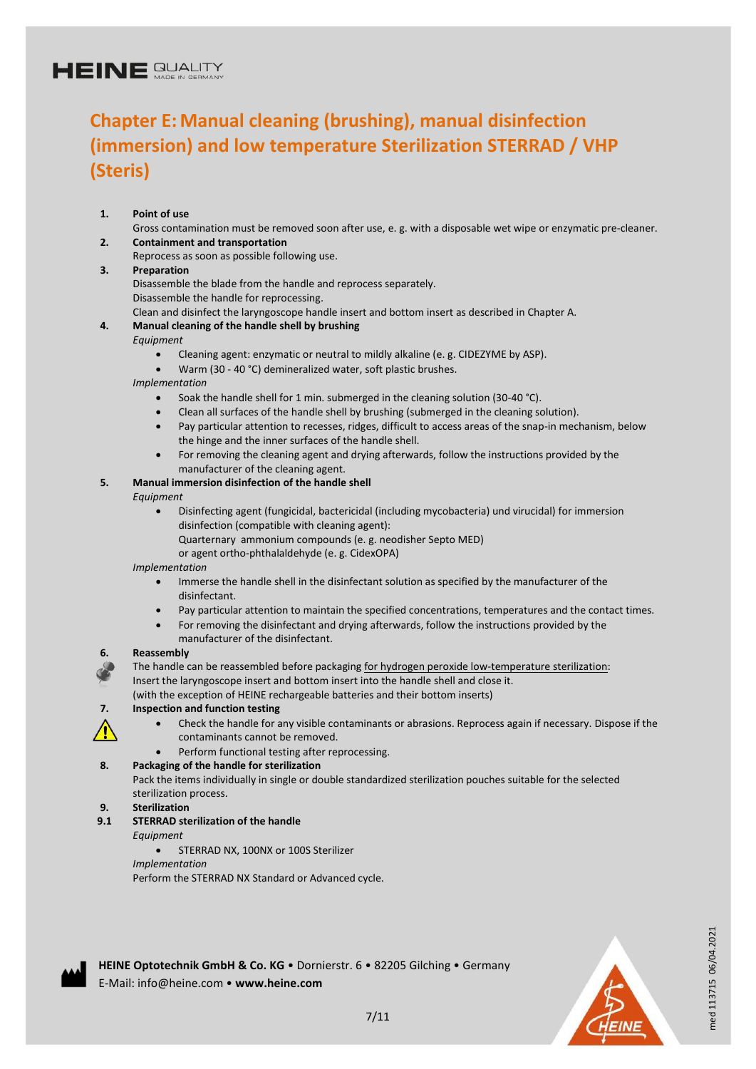### **Chapter E:Manual cleaning (brushing), manual disinfection (immersion) and low temperature Sterilization STERRAD / VHP (Steris)**

#### **1. Point of use**

Gross contamination must be removed soon after use, e. g. with a disposable wet wipe or enzymatic pre-cleaner. **2. Containment and transportation**

Reprocess as soon as possible following use.

#### **3. Preparation**

Disassemble the blade from the handle and reprocess separately. Disassemble the handle for reprocessing.

Clean and disinfect the laryngoscope handle insert and bottom insert as described in Chapter A.

#### **4. Manual cleaning of the handle shell by brushing**

#### *Equipment*

- Cleaning agent: enzymatic or neutral to mildly alkaline (e. g. CIDEZYME by ASP).
- Warm (30 40 °C) demineralized water, soft plastic brushes.

#### *Implementation*

- Soak the handle shell for 1 min. submerged in the cleaning solution (30-40 °C).
- Clean all surfaces of the handle shell by brushing (submerged in the cleaning solution).
- Pay particular attention to recesses, ridges, difficult to access areas of the snap-in mechanism, below the hinge and the inner surfaces of the handle shell.
- For removing the cleaning agent and drying afterwards, follow the instructions provided by the manufacturer of the cleaning agent.

#### **5. Manual immersion disinfection of the handle shell**

#### *Equipment*

- Disinfecting agent (fungicidal, bactericidal (including mycobacteria) und virucidal) for immersion disinfection (compatible with cleaning agent): Quarternary ammonium compounds (e. g. neodisher Septo MED)
	- or agent ortho-phthalaldehyde (e. g. CidexOPA)

#### *Implementation*

- Immerse the handle shell in the disinfectant solution as specified by the manufacturer of the disinfectant.
- Pay particular attention to maintain the specified concentrations, temperatures and the contact times.
- For removing the disinfectant and drying afterwards, follow the instructions provided by the manufacturer of the disinfectant.

#### **6. Reassembly**

The handle can be reassembled before packaging for hydrogen peroxide low-temperature sterilization: Insert the laryngoscope insert and bottom insert into the handle shell and close it.

(with the exception of HEINE rechargeable batteries and their bottom inserts)

#### **7. Inspection and function testing**



- Check the handle for any visible contaminants or abrasions. Reprocess again if necessary. Dispose if the contaminants cannot be removed.
- Perform functional testing after reprocessing.

#### **8. Packaging of the handle for sterilization**

Pack the items individually in single or double standardized sterilization pouches suitable for the selected sterilization process.

**9. Sterilization**

#### **9.1 STERRAD sterilization of the handle**

- *Equipment*
	- **STERRAD NX, 100NX or 100S Sterilizer**
	- *Implementation*

Perform the STERRAD NX Standard or Advanced cycle.



med 113715 06/04.2021

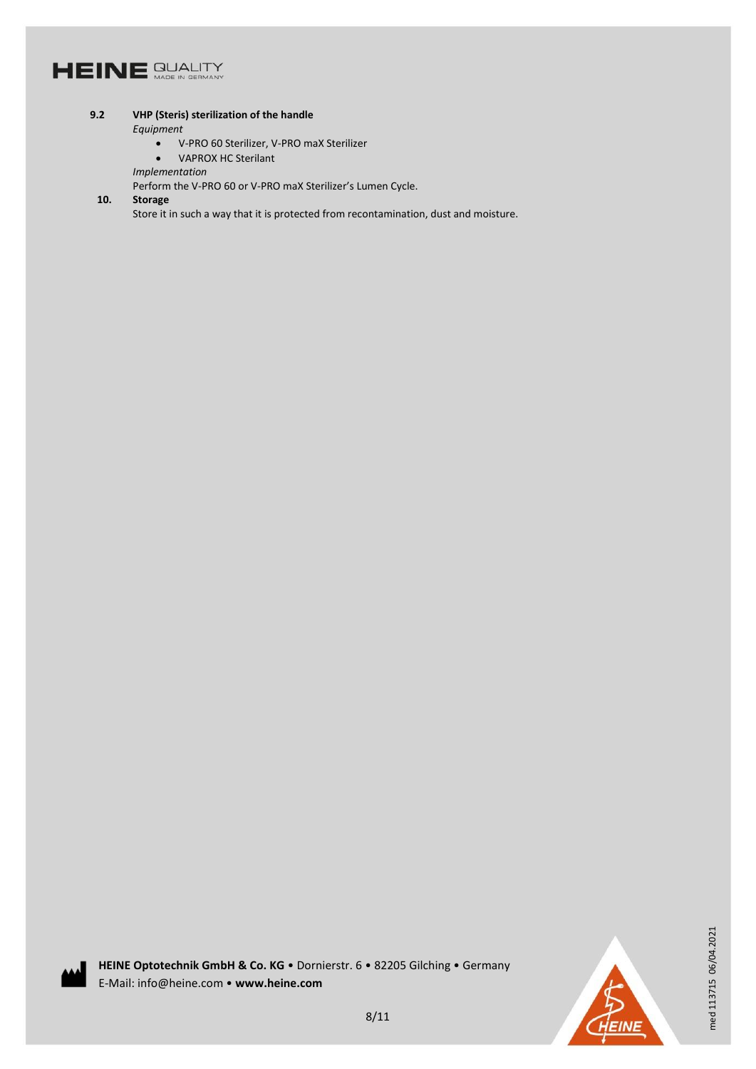#### **9.2 VHP (Steris) sterilization of the handle**

#### *Equipment*

- V-PRO 60 Sterilizer, V-PRO maX Sterilizer
- VAPROX HC Sterilant
- *Implementation*

Perform the V-PRO 60 or V-PRO maX Sterilizer's Lumen Cycle.

#### **10. Storage**

Store it in such a way that it is protected from recontamination, dust and moisture.



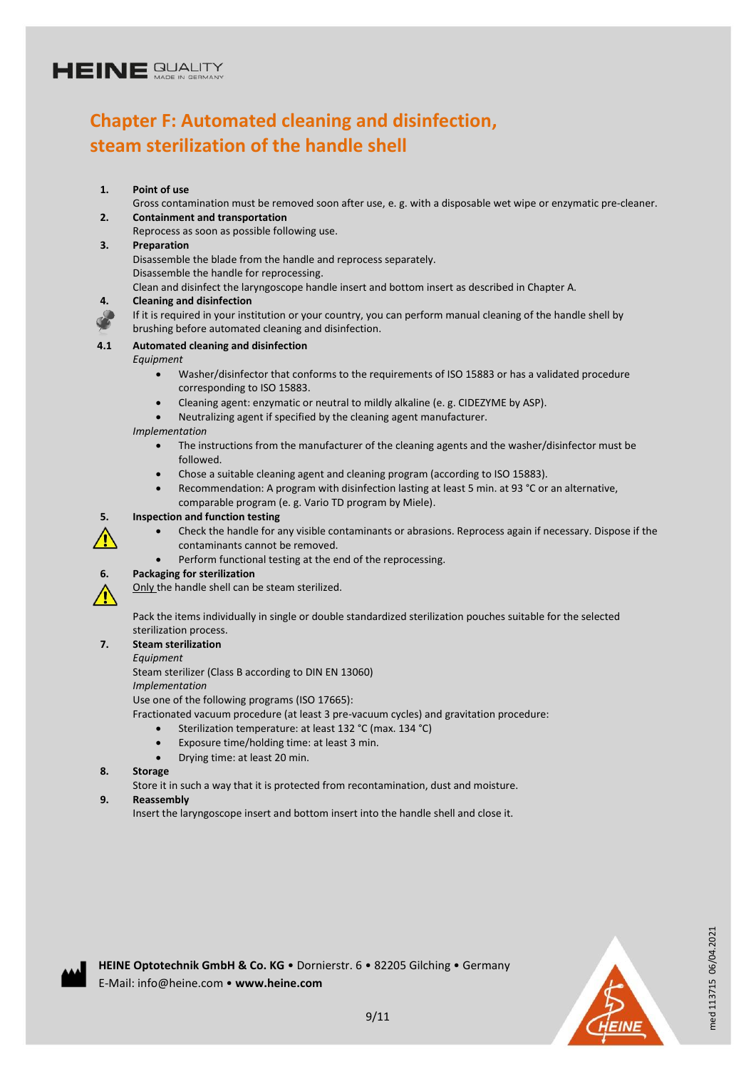### **Chapter F: Automated cleaning and disinfection, steam sterilization of the handle shell**

#### **1. Point of use**

Gross contamination must be removed soon after use, e. g. with a disposable wet wipe or enzymatic pre-cleaner. **2. Containment and transportation**

Reprocess as soon as possible following use.

#### **3. Preparation**

Disassemble the blade from the handle and reprocess separately. Disassemble the handle for reprocessing.

Clean and disinfect the laryngoscope handle insert and bottom insert as described in Chapter A.

#### **4. Cleaning and disinfection**

If it is required in your institution or your country, you can perform manual cleaning of the handle shell by brushing before automated cleaning and disinfection.

#### **4.1 Automated cleaning and disinfection**

#### *Equipment*

- Washer/disinfector that conforms to the requirements of ISO 15883 or has a validated procedure corresponding to ISO 15883.
- Cleaning agent: enzymatic or neutral to mildly alkaline (e. g. CIDEZYME by ASP).
- Neutralizing agent if specified by the cleaning agent manufacturer.

#### *Implementation*

- The instructions from the manufacturer of the cleaning agents and the washer/disinfector must be followed.
- Chose a suitable cleaning agent and cleaning program (according to ISO 15883).
- Recommendation: A program with disinfection lasting at least 5 min. at 93 °C or an alternative, comparable program (e. g. Vario TD program by Miele).

#### **5. Inspection and function testing**

- 
- Check the handle for any visible contaminants or abrasions. Reprocess again if necessary. Dispose if the contaminants cannot be removed.
	- Perform functional testing at the end of the reprocessing.



#### **6. Packaging for sterilization**

Only the handle shell can be steam sterilized.

Pack the items individually in single or double standardized sterilization pouches suitable for the selected sterilization process.

#### **7. Steam sterilization**

*Equipment*

Steam sterilizer (Class B according to DIN EN 13060)

*Implementation*

Use one of the following programs (ISO 17665):

Fractionated vacuum procedure (at least 3 pre-vacuum cycles) and gravitation procedure:

- Sterilization temperature: at least 132 °C (max. 134 °C)
- Exposure time/holding time: at least 3 min.
- Drying time: at least 20 min.

#### **8. Storage**

Store it in such a way that it is protected from recontamination, dust and moisture.

#### **9. Reassembly**

Insert the laryngoscope insert and bottom insert into the handle shell and close it.



med 113715 06/04.2021

med 113715 06/04.2021

**HEINE Optotechnik GmbH & Co. KG** • Dornierstr. 6 • 82205 Gilching • Germany E-Mail: info@heine.com • **www.heine.com**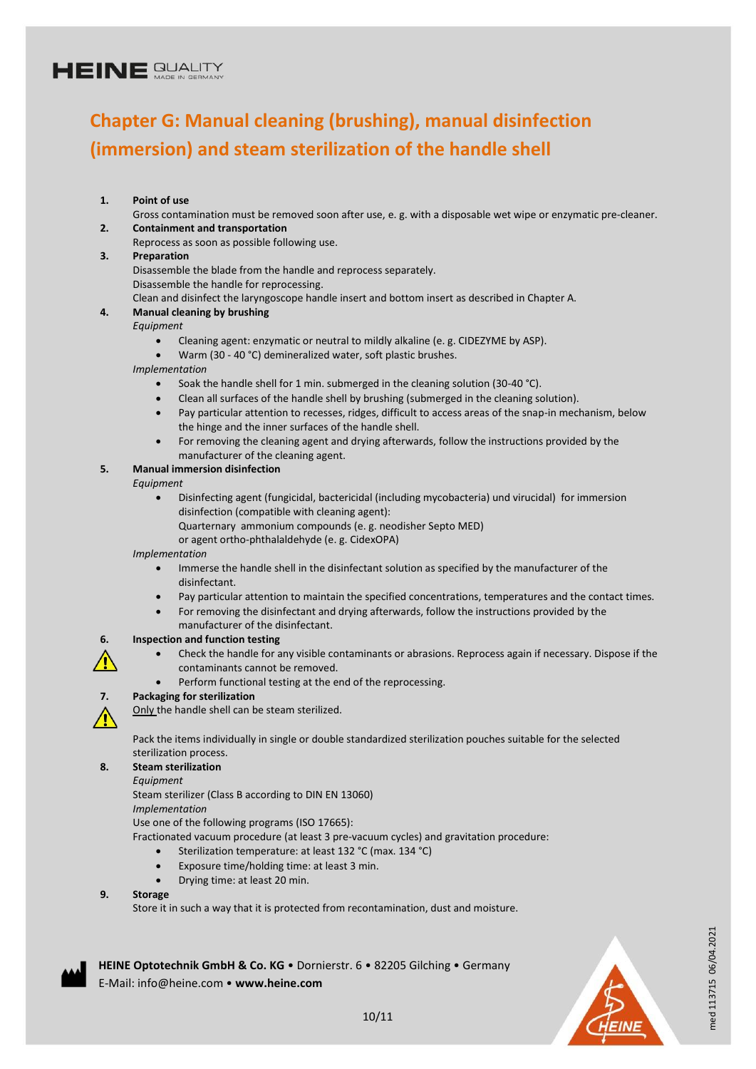### **Chapter G: Manual cleaning (brushing), manual disinfection (immersion) and steam sterilization of the handle shell**

#### **1. Point of use**

- Gross contamination must be removed soon after use, e. g. with a disposable wet wipe or enzymatic pre-cleaner. **2. Containment and transportation**
- Reprocess as soon as possible following use.

#### **3. Preparation**

Disassemble the blade from the handle and reprocess separately.

Disassemble the handle for reprocessing.

Clean and disinfect the laryngoscope handle insert and bottom insert as described in Chapter A.

#### **4. Manual cleaning by brushing**

#### *Equipment*

- Cleaning agent: enzymatic or neutral to mildly alkaline (e. g. CIDEZYME by ASP).
- Warm (30 40 °C) demineralized water, soft plastic brushes.

*Implementation*

- Soak the handle shell for 1 min. submerged in the cleaning solution (30-40 °C).
- Clean all surfaces of the handle shell by brushing (submerged in the cleaning solution).
- Pay particular attention to recesses, ridges, difficult to access areas of the snap-in mechanism, below the hinge and the inner surfaces of the handle shell.
- For removing the cleaning agent and drying afterwards, follow the instructions provided by the manufacturer of the cleaning agent.

#### **5. Manual immersion disinfection**

#### *Equipment*

- Disinfecting agent (fungicidal, bactericidal (including mycobacteria) und virucidal) for immersion disinfection (compatible with cleaning agent):
	- Quarternary ammonium compounds (e. g. neodisher Septo MED)

or agent ortho-phthalaldehyde (e. g. CidexOPA)

#### *Implementation*

- Immerse the handle shell in the disinfectant solution as specified by the manufacturer of the disinfectant.
- Pay particular attention to maintain the specified concentrations, temperatures and the contact times.
- For removing the disinfectant and drying afterwards, follow the instructions provided by the
- manufacturer of the disinfectant.

#### **6. Inspection and function testing**

- Check the handle for any visible contaminants or abrasions. Reprocess again if necessary. Dispose if the contaminants cannot be removed.
- Perform functional testing at the end of the reprocessing.



#### **7. Packaging for sterilization**

Only the handle shell can be steam sterilized.

Pack the items individually in single or double standardized sterilization pouches suitable for the selected sterilization process.

#### **8. Steam sterilization**

*Equipment*

Steam sterilizer (Class B according to DIN EN 13060)

*Implementation*

Use one of the following programs (ISO 17665):

Fractionated vacuum procedure (at least 3 pre-vacuum cycles) and gravitation procedure:

- Sterilization temperature: at least 132 °C (max. 134 °C)
- Exposure time/holding time: at least 3 min.
- Drying time: at least 20 min.

#### **9. Storage**

Store it in such a way that it is protected from recontamination, dust and moisture.



**HEINE Optotechnik GmbH & Co. KG** • Dornierstr. 6 • 82205 Gilching • Germany E-Mail: info@heine.com • **www.heine.com**



med 113715 06/04.2021